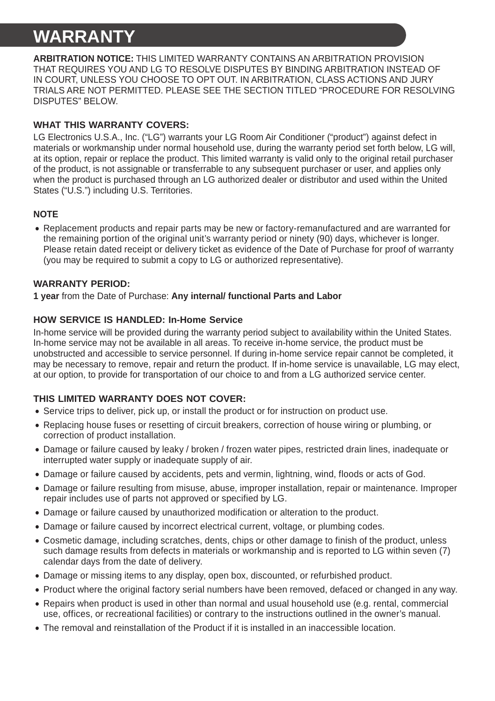# **WARRANTY**

**ARBITRATION NOTICE:** THIS LIMITED WARRANTY CONTAINS AN ARBITRATION PROVISION THAT REQUIRES YOU AND LG TO RESOLVE DISPUTES BY BINDING ARBITRATION INSTEAD OF IN COURT, UNLESS YOU CHOOSE TO OPT OUT. IN ARBITRATION, CLASS ACTIONS AND JURY TRIALS ARE NOT PERMITTED. PLEASE SEE THE SECTION TITLED "PROCEDURE FOR RESOLVING DISPUTES" BELOW.

### **WHAT THIS WARRANTY COVERS:**

LG Electronics U.S.A., Inc. ("LG") warrants your LG Room Air Conditioner ("product") against defect in materials or workmanship under normal household use, during the warranty period set forth below, LG will, at its option, repair or replace the product. This limited warranty is valid only to the original retail purchaser of the product, is not assignable or transferrable to any subsequent purchaser or user, and applies only when the product is purchased through an LG authorized dealer or distributor and used within the United States ("U.S.") including U.S. Territories.

## **NOTE**

• Replacement products and repair parts may be new or factory-remanufactured and are warranted for the remaining portion of the original unit's warranty period or ninety (90) days, whichever is longer. Please retain dated receipt or delivery ticket as evidence of the Date of Purchase for proof of warranty (you may be required to submit a copy to LG or authorized representative).

#### **WARRANTY PERIOD:**

**1 year** from the Date of Purchase: **Any internal/ functional Parts and Labor**

### **HOW SERVICE IS HANDLED: In-Home Service**

In-home service will be provided during the warranty period subject to availability within the United States. In-home service may not be available in all areas. To receive in-home service, the product must be unobstructed and accessible to service personnel. If during in-home service repair cannot be completed, it may be necessary to remove, repair and return the product. If in-home service is unavailable, LG may elect, at our option, to provide for transportation of our choice to and from a LG authorized service center.

### **THIS LIMITED WARRANTY DOES NOT COVER:**

- Service trips to deliver, pick up, or install the product or for instruction on product use.
- Replacing house fuses or resetting of circuit breakers, correction of house wiring or plumbing, or correction of product installation.
- Damage or failure caused by leaky / broken / frozen water pipes, restricted drain lines, inadequate or interrupted water supply or inadequate supply of air.
- Damage or failure caused by accidents, pets and vermin, lightning, wind, floods or acts of God.
- Damage or failure resulting from misuse, abuse, improper installation, repair or maintenance. Improper repair includes use of parts not approved or specified by LG.
- Damage or failure caused by unauthorized modification or alteration to the product.
- Damage or failure caused by incorrect electrical current, voltage, or plumbing codes.
- Cosmetic damage, including scratches, dents, chips or other damage to finish of the product, unless such damage results from defects in materials or workmanship and is reported to LG within seven (7) calendar days from the date of delivery.
- Damage or missing items to any display, open box, discounted, or refurbished product.
- Product where the original factory serial numbers have been removed, defaced or changed in any way.
- Repairs when product is used in other than normal and usual household use (e.g. rental, commercial use, offices, or recreational facilities) or contrary to the instructions outlined in the owner's manual.
- The removal and reinstallation of the Product if it is installed in an inaccessible location.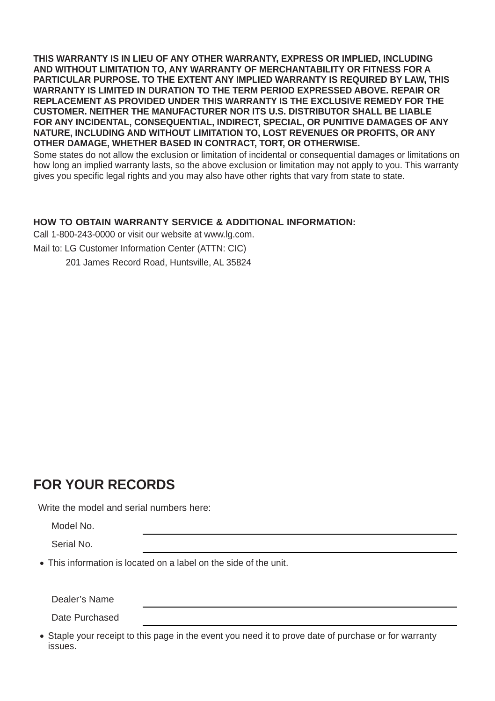**THIS WARRANTY IS IN LIEU OF ANY OTHER WARRANTY, EXPRESS OR IMPLIED, INCLUDING AND WITHOUT LIMITATION TO, ANY WARRANTY OF MERCHANTABILITY OR FITNESS FOR A PARTICULAR PURPOSE. TO THE EXTENT ANY IMPLIED WARRANTY IS REQUIRED BY LAW, THIS WARRANTY IS LIMITED IN DURATION TO THE TERM PERIOD EXPRESSED ABOVE. REPAIR OR REPLACEMENT AS PROVIDED UNDER THIS WARRANTY IS THE EXCLUSIVE REMEDY FOR THE CUSTOMER. NEITHER THE MANUFACTURER NOR ITS U.S. DISTRIBUTOR SHALL BE LIABLE FOR ANY INCIDENTAL, CONSEQUENTIAL, INDIRECT, SPECIAL, OR PUNITIVE DAMAGES OF ANY NATURE, INCLUDING AND WITHOUT LIMITATION TO, LOST REVENUES OR PROFITS, OR ANY OTHER DAMAGE, WHETHER BASED IN CONTRACT, TORT, OR OTHERWISE.**

Some states do not allow the exclusion or limitation of incidental or consequential damages or limitations on how long an implied warranty lasts, so the above exclusion or limitation may not apply to you. This warranty gives you specific legal rights and you may also have other rights that vary from state to state.

#### **HOW TO OBTAIN WARRANTY SERVICE & ADDITIONAL INFORMATION:**

Call 1-800-243-0000 or visit our website at www.lg.com.

Mail to: LG Customer Information Center (ATTN: CIC)

201 James Record Road, Huntsville, AL 35824

# **FOR YOUR RECORDS**

Write the model and serial numbers here:

Model No.

Serial No.

• This information is located on a label on the side of the unit.

Dealer's Name

Date Purchased

• Staple your receipt to this page in the event you need it to prove date of purchase or for warranty issues.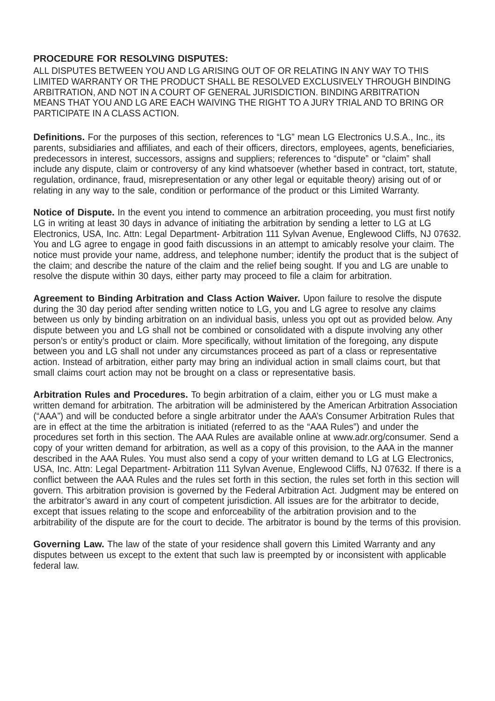#### **PROCEDURE FOR RESOLVING DISPUTES:**

ALL DISPUTES BETWEEN YOU AND LG ARISING OUT OF OR RELATING IN ANY WAY TO THIS LIMITED WARRANTY OR THE PRODUCT SHALL BE RESOLVED EXCLUSIVELY THROUGH BINDING ARBITRATION, AND NOT IN A COURT OF GENERAL JURISDICTION. BINDING ARBITRATION MEANS THAT YOU AND LG ARE EACH WAIVING THE RIGHT TO A JURY TRIAL AND TO BRING OR PARTICIPATE IN A CLASS ACTION.

**Definitions.** For the purposes of this section, references to "LG" mean LG Electronics U.S.A., Inc., its parents, subsidiaries and affiliates, and each of their officers, directors, employees, agents, beneficiaries, predecessors in interest, successors, assigns and suppliers; references to "dispute" or "claim" shall include any dispute, claim or controversy of any kind whatsoever (whether based in contract, tort, statute, regulation, ordinance, fraud, misrepresentation or any other legal or equitable theory) arising out of or relating in any way to the sale, condition or performance of the product or this Limited Warranty.

**Notice of Dispute.** In the event you intend to commence an arbitration proceeding, you must first notify LG in writing at least 30 days in advance of initiating the arbitration by sending a letter to LG at LG Electronics, USA, Inc. Attn: Legal Department- Arbitration 111 Sylvan Avenue, Englewood Cliffs, NJ 07632. You and LG agree to engage in good faith discussions in an attempt to amicably resolve your claim. The notice must provide your name, address, and telephone number; identify the product that is the subject of the claim; and describe the nature of the claim and the relief being sought. If you and LG are unable to resolve the dispute within 30 days, either party may proceed to file a claim for arbitration.

**Agreement to Binding Arbitration and Class Action Waiver.** Upon failure to resolve the dispute during the 30 day period after sending written notice to LG, you and LG agree to resolve any claims between us only by binding arbitration on an individual basis, unless you opt out as provided below. Any dispute between you and LG shall not be combined or consolidated with a dispute involving any other person's or entity's product or claim. More specifically, without limitation of the foregoing, any dispute between you and LG shall not under any circumstances proceed as part of a class or representative action. Instead of arbitration, either party may bring an individual action in small claims court, but that small claims court action may not be brought on a class or representative basis.

**Arbitration Rules and Procedures.** To begin arbitration of a claim, either you or LG must make a written demand for arbitration. The arbitration will be administered by the American Arbitration Association ("AAA") and will be conducted before a single arbitrator under the AAA's Consumer Arbitration Rules that are in effect at the time the arbitration is initiated (referred to as the "AAA Rules") and under the procedures set forth in this section. The AAA Rules are available online at www.adr.org/consumer. Send a copy of your written demand for arbitration, as well as a copy of this provision, to the AAA in the manner described in the AAA Rules. You must also send a copy of your written demand to LG at LG Electronics, USA, Inc. Attn: Legal Department- Arbitration 111 Sylvan Avenue, Englewood Cliffs, NJ 07632. If there is a conflict between the AAA Rules and the rules set forth in this section, the rules set forth in this section will govern. This arbitration provision is governed by the Federal Arbitration Act. Judgment may be entered on the arbitrator's award in any court of competent jurisdiction. All issues are for the arbitrator to decide, except that issues relating to the scope and enforceability of the arbitration provision and to the arbitrability of the dispute are for the court to decide. The arbitrator is bound by the terms of this provision.

**Governing Law.** The law of the state of your residence shall govern this Limited Warranty and any disputes between us except to the extent that such law is preempted by or inconsistent with applicable federal law.